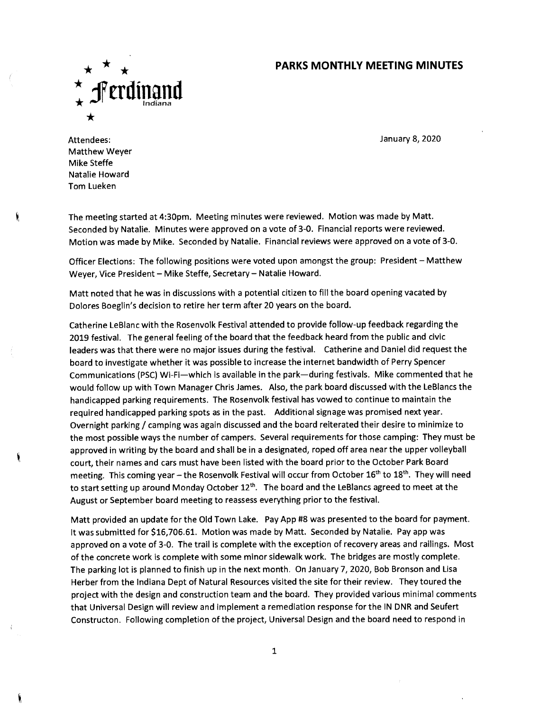## **\* \* PARKS MONTHLY MEETING MINUTES**



January 8, 2020

Attendees: Matthew Weyer Mike Steffe Natalie Howard Tom Lueken

The meeting started at 4:30pm. Meeting minutes were reviewed. Motion was made by Matt. Seconded by Natalie. Minutes were approved on a vote of 3-0. Financial reports were reviewed. Motion was made by Mike. Seconded by Natalie. Financial reviews were approved on a vote of 3-0.

Officer Elections: The following positions were voted upon amongst the group: President – Matthew Weyer, Vice President – Mike Steffe, Secretary – Natalie Howard.

Matt noted that he was in discussions with a potential citizen to fill the board opening vacated by Dolores Boeglin's decision to retire her term after 20 years on the board.

Catherine LeBlanc with the Rosenvolk Festival attended to provide follow-up feedback regarding the 2019 festival. The general feeling of the board that the feedback heard from the public and civic leaders was that there were no major issues during the festival. Catherine and Daniel did request the board to investigate whether it was possible to increase the internet bandwidth of Perry Spencer Communications (PSC) Wi-Fi—which is available in the park—during festivals. Mike commented that he would follow up with Town Manager Chris James. Also, the park board discussed with the LeBlancs the handicapped parking requirements. The Rosenvolk festival has vowed to continue to maintain the required handicapped parking spots as in the past. Additional signage was promised next year. Overnight parking / camping was again discussed and the board reiterated their desire to minimize to the most possible ways the number of campers. Several requirements for those camping: They must be approved in writing by the board and shall be in a designated, roped off area near the upper volleyball court, their names and cars must have been listed with the board prior to the October Park Board meeting. This coming year – the Rosenvolk Festival will occur from October 16<sup>th</sup> to 18<sup>th</sup>. They will need to start setting up around Monday October  $12^{th}$ . The board and the LeBlancs agreed to meet at the August or September board meeting to reassess everything prior to the festival.

Matt provided an update for the Old Town Lake. Pay App #8 was presented to the board for payment. It was submitted for \$16,706.61. Motion was made by Matt. Seconded by Natalie. Pay app was approved on a vote of 3-0. The trail is complete with the exception of recovery areas and railings. Most of the concrete work is complete with some minor sidewalk work. The bridges are mostly complete. The parking lot is planned to finish up in the next month. On January 7, 2020, Bob Bronson and Lisa Herber from the Indiana Dept of Natural Resources visited the site for their review. They toured the project with the design and construction team and the board. They provided various minimal comments that Universal Design will review and implement a remediation response for the IN DNR and Seufert Constructon. Following completion of the project, Universal Design and the board need to respond in